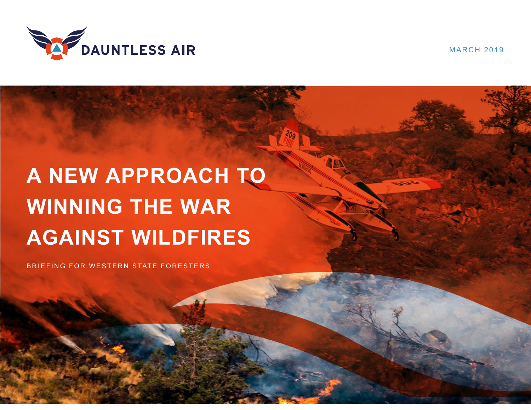

MARCH 2019

# **A NEW APPROACH TO WINNING THE WAR AGAINST WILDFIRES**

BRIEFING FOR WESTERN STATE FORESTERS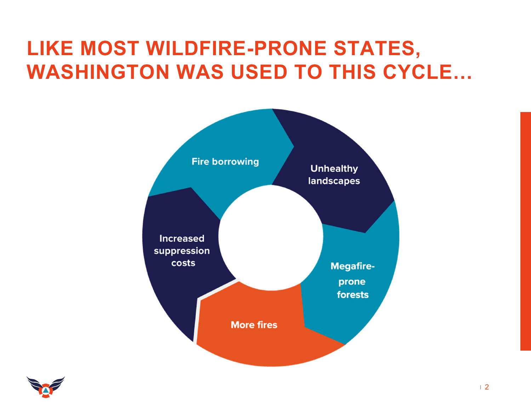#### **LIKE MOST WILDFIRE-PRONE STATES, WASHINGTON WAS USED TO THIS CYCLE…**



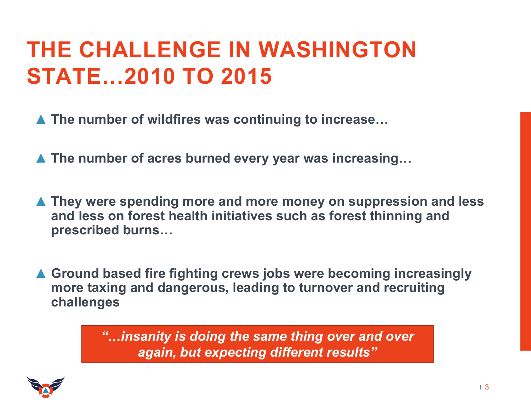### **THE CHALLENGE IN WASHINGTON STATE…2010 TO 2015**

- ▲ **The number of wildfires was continuing to increase…**
- ▲ **The number of acres burned every year was increasing…**
- ▲ **They were spending more and more money on suppression and less and less on forest health initiatives such as forest thinning and prescribed burns…**
- ▲ **Ground based fire fighting crews jobs were becoming increasingly more taxing and dangerous, leading to turnover and recruiting challenges**

*"…insanity is doing the same thing over and over again, but expecting different results"*

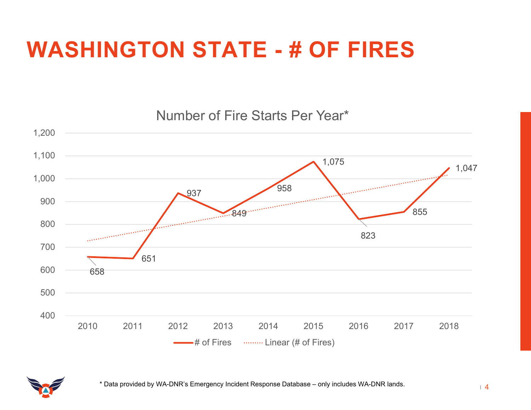## **WASHINGTON STATE - # OF FIRES**



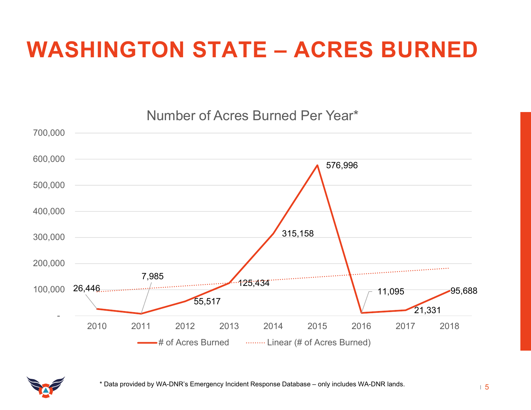# **WASHINGTON STATE – ACRES BURNED**





5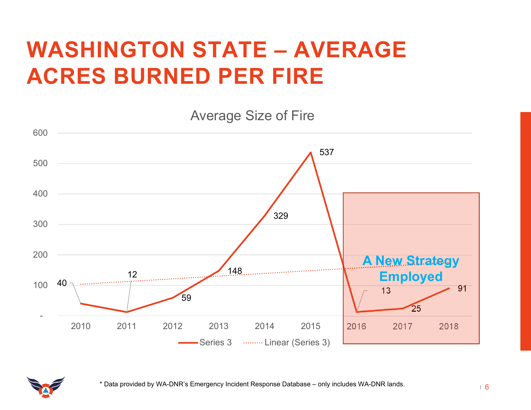### **WASHINGTON STATE – AVERAGE ACRES BURNED PER FIRE**



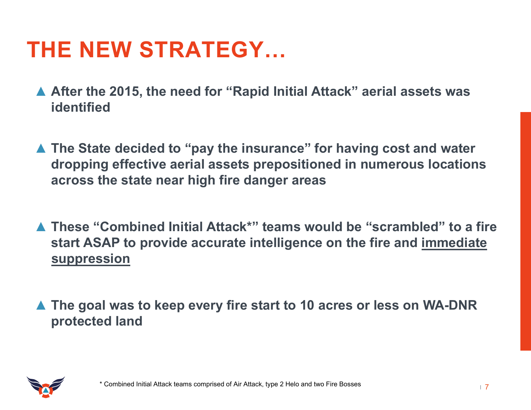### **THE NEW STRATEGY…**

- ▲ **After the 2015, the need for "Rapid Initial Attack" aerial assets was identified**
- ▲ **The State decided to "pay the insurance" for having cost and water dropping effective aerial assets prepositioned in numerous locations across the state near high fire danger areas**
- ▲ **These "Combined Initial Attack\*" teams would be "scrambled" to a fire start ASAP to provide accurate intelligence on the fire and immediate suppression**
- ▲ The goal was to keep every fire start to 10 acres or less on WA-DNR **protected land**

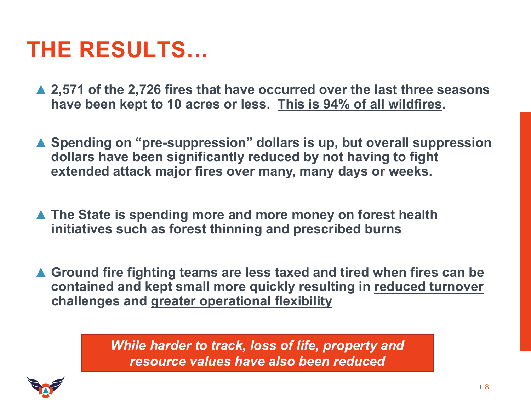#### **THE RESULTS…**

- ▲ **2,571 of the 2,726 fires that have occurred over the last three seasons have been kept to 10 acres or less. This is 94% of all wildfires.**
- ▲ **Spending on "pre-suppression" dollars is up, but overall suppression dollars have been significantly reduced by not having to fight extended attack major fires over many, many days or weeks.**
- ▲ The State is spending more and more money on forest health **initiatives such as forest thinning and prescribed burns**
- ▲ **Ground fire fighting teams are less taxed and tired when fires can be contained and kept small more quickly resulting in reduced turnover challenges and greater operational flexibility**

*While harder to track, loss of life, property and resource values have also been reduced*

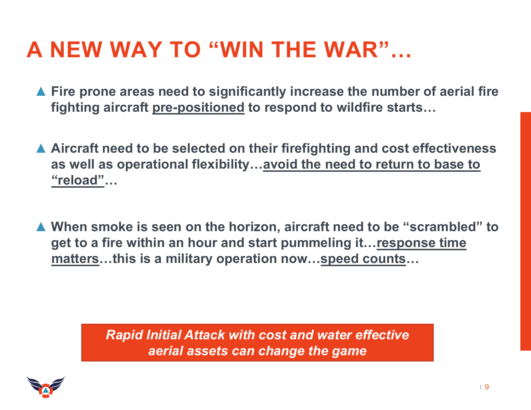### **A NEW WAY TO "WIN THE WAR"…**

- ▲ **Fire prone areas need to significantly increase the number of aerial fire fighting aircraft pre-positioned to respond to wildfire starts…**
- ▲ **Aircraft need to be selected on their firefighting and cost effectiveness as well as operational flexibility…avoid the need to return to base to "reload"…**
- ▲ **When smoke is seen on the horizon, aircraft need to be "scrambled" to get to a fire within an hour and start pummeling it…response time matters…this is a military operation now…speed counts…**

*Rapid Initial Attack with cost and water effective aerial assets can change the game*